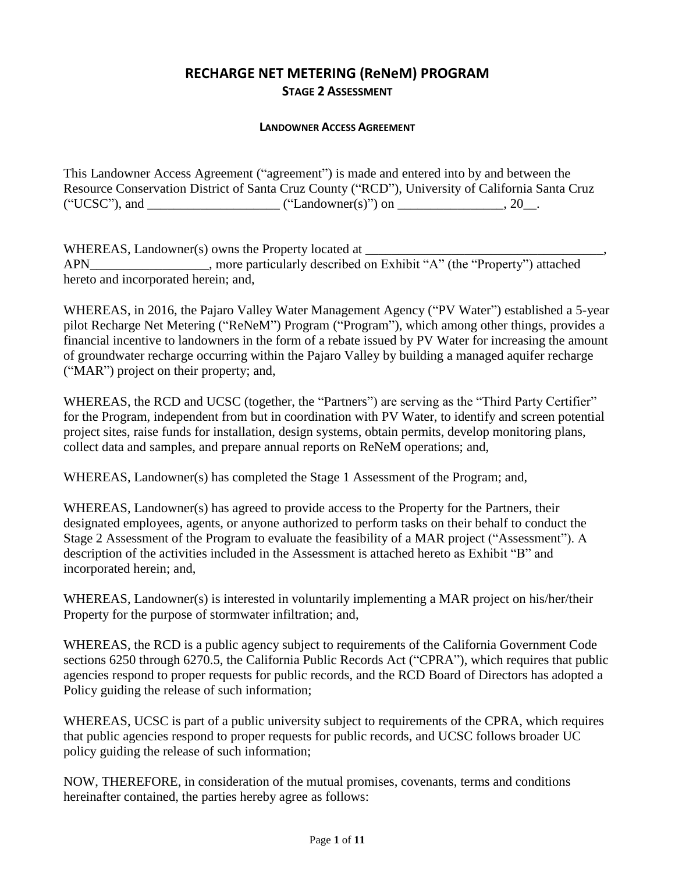# **RECHARGE NET METERING (ReNeM) PROGRAM STAGE 2 ASSESSMENT**

#### **LANDOWNER ACCESS AGREEMENT**

This Landowner Access Agreement ("agreement") is made and entered into by and between the Resource Conservation District of Santa Cruz County ("RCD"), University of California Santa Cruz ("UCSC"), and \_\_\_\_\_\_\_\_\_\_\_\_\_\_\_\_\_\_\_\_ ("Landowner(s)") on \_\_\_\_\_\_\_\_\_\_\_\_\_\_\_\_, 20\_\_.

WHEREAS, Landowner(s) owns the Property located at \_\_\_\_\_\_\_\_\_\_\_\_\_\_\_\_\_\_\_\_\_\_\_\_\_\_\_\_\_\_ APN\_\_\_\_\_\_\_\_\_\_\_\_\_\_\_\_\_\_, more particularly described on Exhibit "A" (the "Property") attached hereto and incorporated herein; and,

WHEREAS, in 2016, the Pajaro Valley Water Management Agency ("PV Water") established a 5-year pilot Recharge Net Metering ("ReNeM") Program ("Program"), which among other things, provides a financial incentive to landowners in the form of a rebate issued by PV Water for increasing the amount of groundwater recharge occurring within the Pajaro Valley by building a managed aquifer recharge ("MAR") project on their property; and,

WHEREAS, the RCD and UCSC (together, the "Partners") are serving as the "Third Party Certifier" for the Program, independent from but in coordination with PV Water, to identify and screen potential project sites, raise funds for installation, design systems, obtain permits, develop monitoring plans, collect data and samples, and prepare annual reports on ReNeM operations; and,

WHEREAS, Landowner(s) has completed the Stage 1 Assessment of the Program; and,

WHEREAS, Landowner(s) has agreed to provide access to the Property for the Partners, their designated employees, agents, or anyone authorized to perform tasks on their behalf to conduct the Stage 2 Assessment of the Program to evaluate the feasibility of a MAR project ("Assessment"). A description of the activities included in the Assessment is attached hereto as Exhibit "B" and incorporated herein; and,

WHEREAS, Landowner(s) is interested in voluntarily implementing a MAR project on his/her/their Property for the purpose of stormwater infiltration; and,

WHEREAS, the RCD is a public agency subject to requirements of the California Government Code sections 6250 through 6270.5, the California Public Records Act ("CPRA"), which requires that public agencies respond to proper requests for public records, and the RCD Board of Directors has adopted a Policy guiding the release of such information;

WHEREAS, UCSC is part of a public university subject to requirements of the CPRA, which requires that public agencies respond to proper requests for public records, and UCSC follows broader UC policy guiding the release of such information;

NOW, THEREFORE, in consideration of the mutual promises, covenants, terms and conditions hereinafter contained, the parties hereby agree as follows: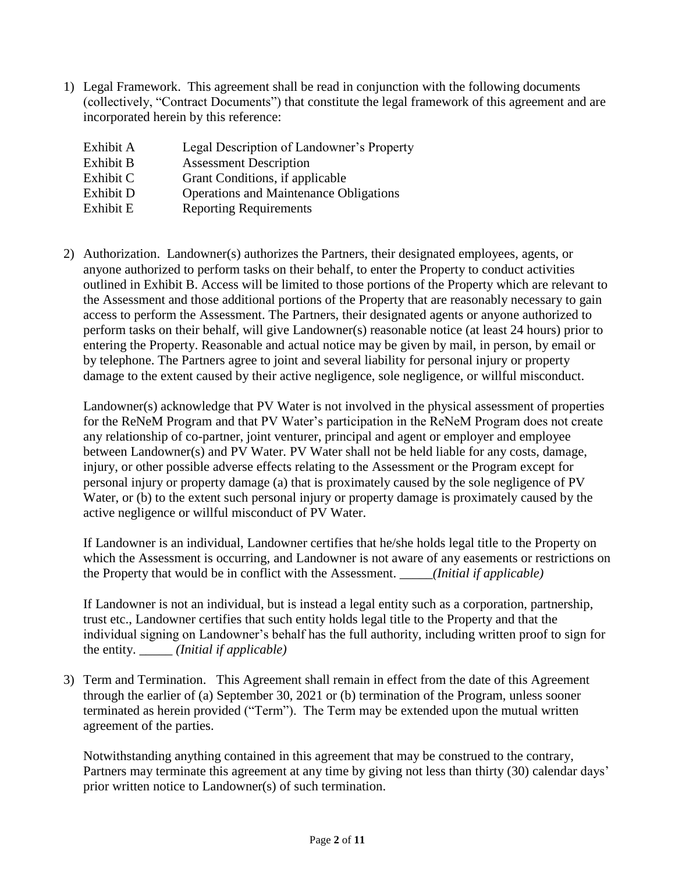1) Legal Framework. This agreement shall be read in conjunction with the following documents (collectively, "Contract Documents") that constitute the legal framework of this agreement and are incorporated herein by this reference:

| Legal Description of Landowner's Property     |
|-----------------------------------------------|
| <b>Assessment Description</b>                 |
| Grant Conditions, if applicable               |
| <b>Operations and Maintenance Obligations</b> |
| <b>Reporting Requirements</b>                 |
|                                               |

2) Authorization. Landowner(s) authorizes the Partners, their designated employees, agents, or anyone authorized to perform tasks on their behalf, to enter the Property to conduct activities outlined in Exhibit B. Access will be limited to those portions of the Property which are relevant to the Assessment and those additional portions of the Property that are reasonably necessary to gain access to perform the Assessment. The Partners, their designated agents or anyone authorized to perform tasks on their behalf, will give Landowner(s) reasonable notice (at least 24 hours) prior to entering the Property. Reasonable and actual notice may be given by mail, in person, by email or by telephone. The Partners agree to joint and several liability for personal injury or property damage to the extent caused by their active negligence, sole negligence, or willful misconduct.

Landowner(s) acknowledge that PV Water is not involved in the physical assessment of properties for the ReNeM Program and that PV Water's participation in the ReNeM Program does not create any relationship of co-partner, joint venturer, principal and agent or employer and employee between Landowner(s) and PV Water. PV Water shall not be held liable for any costs, damage, injury, or other possible adverse effects relating to the Assessment or the Program except for personal injury or property damage (a) that is proximately caused by the sole negligence of PV Water, or (b) to the extent such personal injury or property damage is proximately caused by the active negligence or willful misconduct of PV Water.

If Landowner is an individual, Landowner certifies that he/she holds legal title to the Property on which the Assessment is occurring, and Landowner is not aware of any easements or restrictions on the Property that would be in conflict with the Assessment. \_\_\_\_\_*(Initial if applicable)*

If Landowner is not an individual, but is instead a legal entity such as a corporation, partnership, trust etc., Landowner certifies that such entity holds legal title to the Property and that the individual signing on Landowner's behalf has the full authority, including written proof to sign for the entity. \_\_\_\_\_ *(Initial if applicable)*

3) Term and Termination. This Agreement shall remain in effect from the date of this Agreement through the earlier of (a) September 30, 2021 or (b) termination of the Program, unless sooner terminated as herein provided ("Term"). The Term may be extended upon the mutual written agreement of the parties.

Notwithstanding anything contained in this agreement that may be construed to the contrary, Partners may terminate this agreement at any time by giving not less than thirty (30) calendar days' prior written notice to Landowner(s) of such termination.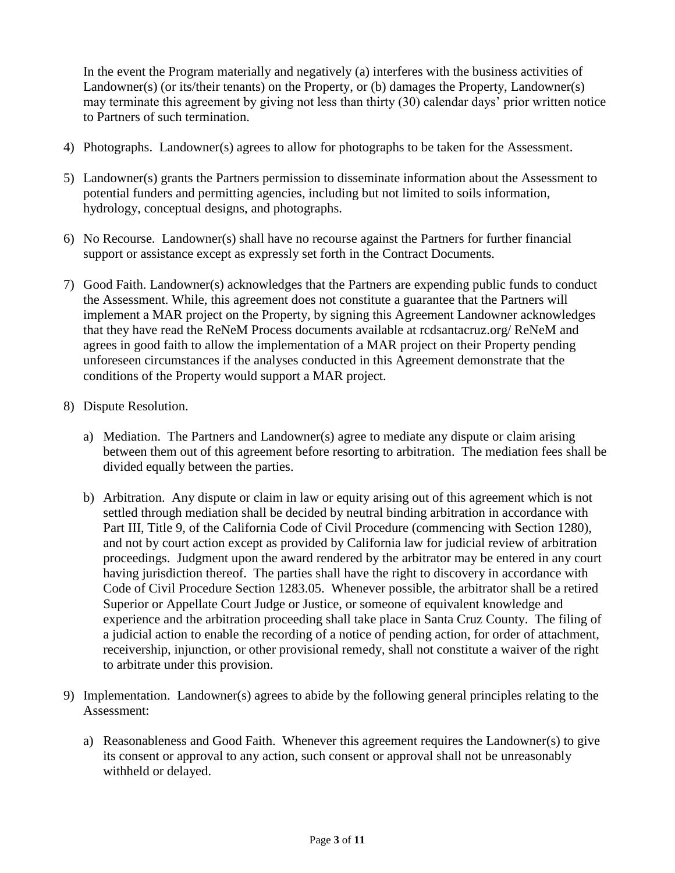In the event the Program materially and negatively (a) interferes with the business activities of Landowner(s) (or its/their tenants) on the Property, or (b) damages the Property, Landowner(s) may terminate this agreement by giving not less than thirty (30) calendar days' prior written notice to Partners of such termination.

- 4) Photographs. Landowner(s) agrees to allow for photographs to be taken for the Assessment.
- 5) Landowner(s) grants the Partners permission to disseminate information about the Assessment to potential funders and permitting agencies, including but not limited to soils information, hydrology, conceptual designs, and photographs.
- 6) No Recourse. Landowner(s) shall have no recourse against the Partners for further financial support or assistance except as expressly set forth in the Contract Documents.
- 7) Good Faith. Landowner(s) acknowledges that the Partners are expending public funds to conduct the Assessment. While, this agreement does not constitute a guarantee that the Partners will implement a MAR project on the Property, by signing this Agreement Landowner acknowledges that they have read the ReNeM Process documents available at rcdsantacruz.org/ ReNeM and agrees in good faith to allow the implementation of a MAR project on their Property pending unforeseen circumstances if the analyses conducted in this Agreement demonstrate that the conditions of the Property would support a MAR project.
- 8) Dispute Resolution.
	- a) Mediation. The Partners and Landowner(s) agree to mediate any dispute or claim arising between them out of this agreement before resorting to arbitration. The mediation fees shall be divided equally between the parties.
	- b) Arbitration. Any dispute or claim in law or equity arising out of this agreement which is not settled through mediation shall be decided by neutral binding arbitration in accordance with Part III, Title 9, of the California Code of Civil Procedure (commencing with Section 1280), and not by court action except as provided by California law for judicial review of arbitration proceedings. Judgment upon the award rendered by the arbitrator may be entered in any court having jurisdiction thereof. The parties shall have the right to discovery in accordance with Code of Civil Procedure Section 1283.05. Whenever possible, the arbitrator shall be a retired Superior or Appellate Court Judge or Justice, or someone of equivalent knowledge and experience and the arbitration proceeding shall take place in Santa Cruz County. The filing of a judicial action to enable the recording of a notice of pending action, for order of attachment, receivership, injunction, or other provisional remedy, shall not constitute a waiver of the right to arbitrate under this provision.
- 9) Implementation. Landowner(s) agrees to abide by the following general principles relating to the Assessment:
	- a) Reasonableness and Good Faith. Whenever this agreement requires the Landowner(s) to give its consent or approval to any action, such consent or approval shall not be unreasonably withheld or delayed.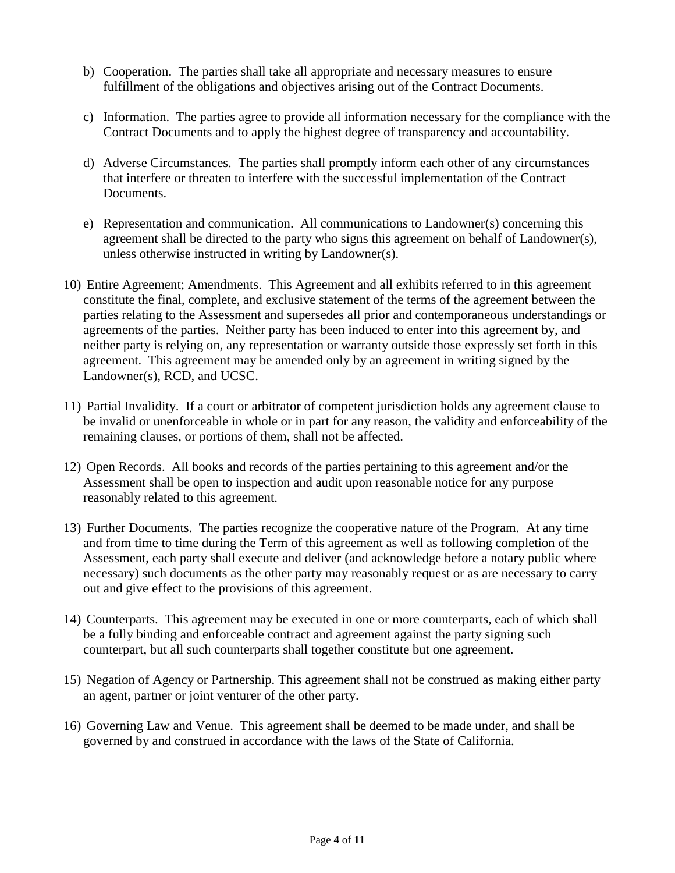- b) Cooperation. The parties shall take all appropriate and necessary measures to ensure fulfillment of the obligations and objectives arising out of the Contract Documents.
- c) Information. The parties agree to provide all information necessary for the compliance with the Contract Documents and to apply the highest degree of transparency and accountability.
- d) Adverse Circumstances. The parties shall promptly inform each other of any circumstances that interfere or threaten to interfere with the successful implementation of the Contract Documents.
- e) Representation and communication. All communications to Landowner(s) concerning this agreement shall be directed to the party who signs this agreement on behalf of Landowner(s), unless otherwise instructed in writing by Landowner(s).
- 10) Entire Agreement; Amendments. This Agreement and all exhibits referred to in this agreement constitute the final, complete, and exclusive statement of the terms of the agreement between the parties relating to the Assessment and supersedes all prior and contemporaneous understandings or agreements of the parties. Neither party has been induced to enter into this agreement by, and neither party is relying on, any representation or warranty outside those expressly set forth in this agreement. This agreement may be amended only by an agreement in writing signed by the Landowner(s), RCD, and UCSC.
- 11) Partial Invalidity. If a court or arbitrator of competent jurisdiction holds any agreement clause to be invalid or unenforceable in whole or in part for any reason, the validity and enforceability of the remaining clauses, or portions of them, shall not be affected.
- 12) Open Records. All books and records of the parties pertaining to this agreement and/or the Assessment shall be open to inspection and audit upon reasonable notice for any purpose reasonably related to this agreement.
- 13) Further Documents. The parties recognize the cooperative nature of the Program. At any time and from time to time during the Term of this agreement as well as following completion of the Assessment, each party shall execute and deliver (and acknowledge before a notary public where necessary) such documents as the other party may reasonably request or as are necessary to carry out and give effect to the provisions of this agreement.
- 14) Counterparts. This agreement may be executed in one or more counterparts, each of which shall be a fully binding and enforceable contract and agreement against the party signing such counterpart, but all such counterparts shall together constitute but one agreement.
- 15) Negation of Agency or Partnership. This agreement shall not be construed as making either party an agent, partner or joint venturer of the other party.
- 16) Governing Law and Venue. This agreement shall be deemed to be made under, and shall be governed by and construed in accordance with the laws of the State of California.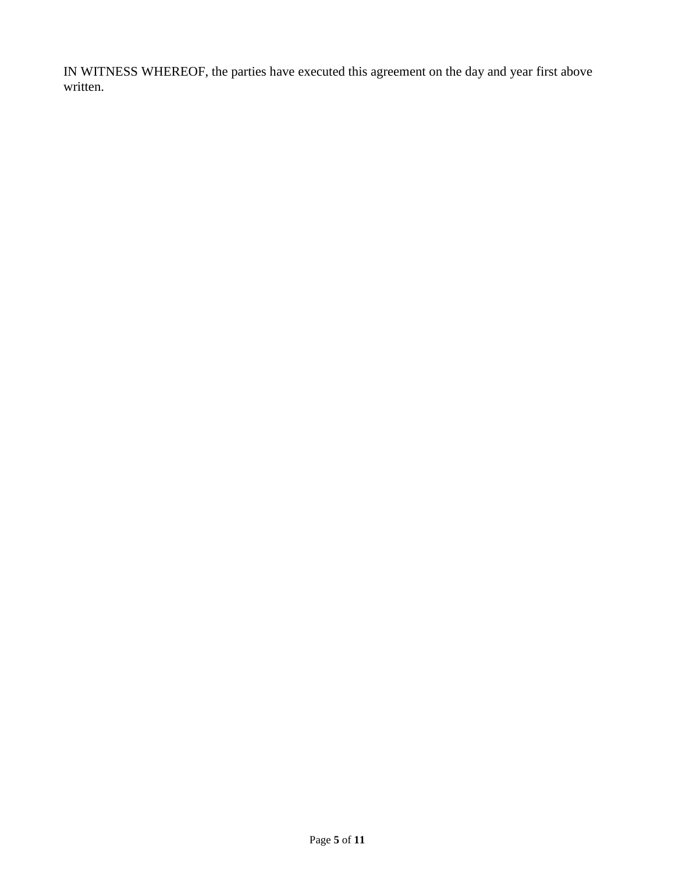IN WITNESS WHEREOF, the parties have executed this agreement on the day and year first above written.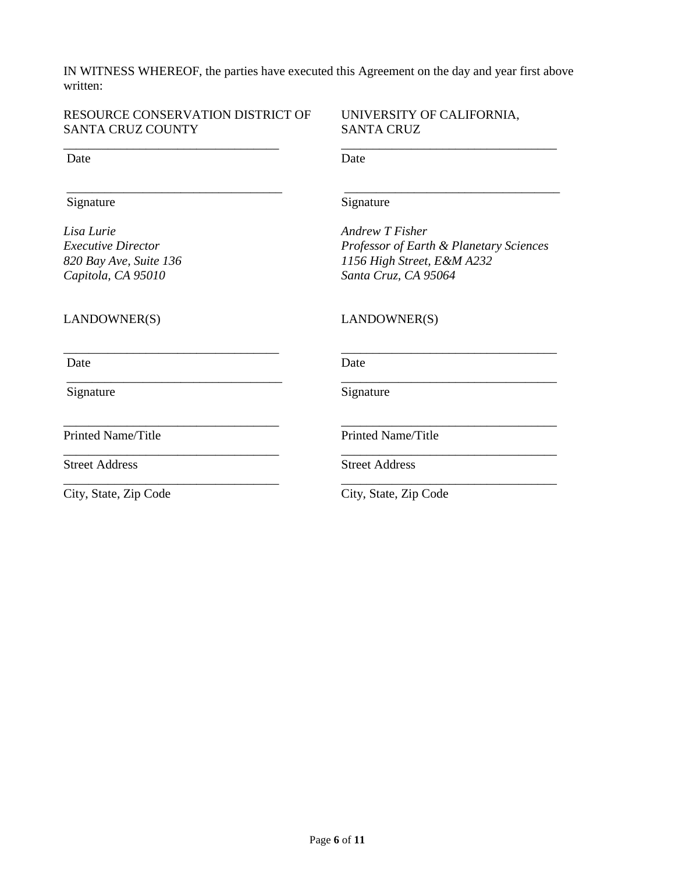IN WITNESS WHEREOF, the parties have executed this Agreement on the day and year first above written:

### RESOURCE CONSERVATION DISTRICT OF UNIVERSITY OF CALIFORNIA, SANTA CRUZ COUNTY SANTA CRUZ

\_\_\_\_\_\_\_\_\_\_\_\_\_\_\_\_\_\_\_\_\_\_\_\_\_\_\_\_\_\_\_\_\_\_ \_\_\_\_\_\_\_\_\_\_\_\_\_\_\_\_\_\_\_\_\_\_\_\_\_\_\_\_\_\_\_\_\_\_ Date Date Date

#### Signature Signature Signature

*Lisa Lurie Andrew T Fisher Capitola, CA 95010 Santa Cruz, CA 95064* 

\_\_\_\_\_\_\_\_\_\_\_\_\_\_\_\_\_\_\_\_\_\_\_\_\_\_\_\_\_\_\_\_\_\_ \_\_\_\_\_\_\_\_\_\_\_\_\_\_\_\_\_\_\_\_\_\_\_\_\_\_\_\_\_\_\_\_\_\_

*Executive Director Professor of Earth & Planetary Sciences 820 Bay Ave, Suite 136 1156 High Street, E&M A232* 

### LANDOWNER(S) LANDOWNER(S)

\_\_\_\_\_\_\_\_\_\_\_\_\_\_\_\_\_\_\_\_\_\_\_\_\_\_\_\_\_\_\_\_\_\_ \_\_\_\_\_\_\_\_\_\_\_\_\_\_\_\_\_\_\_\_\_\_\_\_\_\_\_\_\_\_\_\_\_\_

Signature Signature Signature

Printed Name/Title Printed Name/Title

Date Date Date

\_\_\_\_\_\_\_\_\_\_\_\_\_\_\_\_\_\_\_\_\_\_\_\_\_\_\_\_\_\_\_\_\_\_ \_\_\_\_\_\_\_\_\_\_\_\_\_\_\_\_\_\_\_\_\_\_\_\_\_\_\_\_\_\_\_\_\_\_

\_\_\_\_\_\_\_\_\_\_\_\_\_\_\_\_\_\_\_\_\_\_\_\_\_\_\_\_\_\_\_\_\_\_ \_\_\_\_\_\_\_\_\_\_\_\_\_\_\_\_\_\_\_\_\_\_\_\_\_\_\_\_\_\_\_\_\_\_

\_\_\_\_\_\_\_\_\_\_\_\_\_\_\_\_\_\_\_\_\_\_\_\_\_\_\_\_\_\_\_\_\_\_ \_\_\_\_\_\_\_\_\_\_\_\_\_\_\_\_\_\_\_\_\_\_\_\_\_\_\_\_\_\_\_\_\_\_

Street Address Street Address

\_\_\_\_\_\_\_\_\_\_\_\_\_\_\_\_\_\_\_\_\_\_\_\_\_\_\_\_\_\_\_\_\_\_ \_\_\_\_\_\_\_\_\_\_\_\_\_\_\_\_\_\_\_\_\_\_\_\_\_\_\_\_\_\_\_\_\_\_ City, State, Zip Code City, State, Zip Code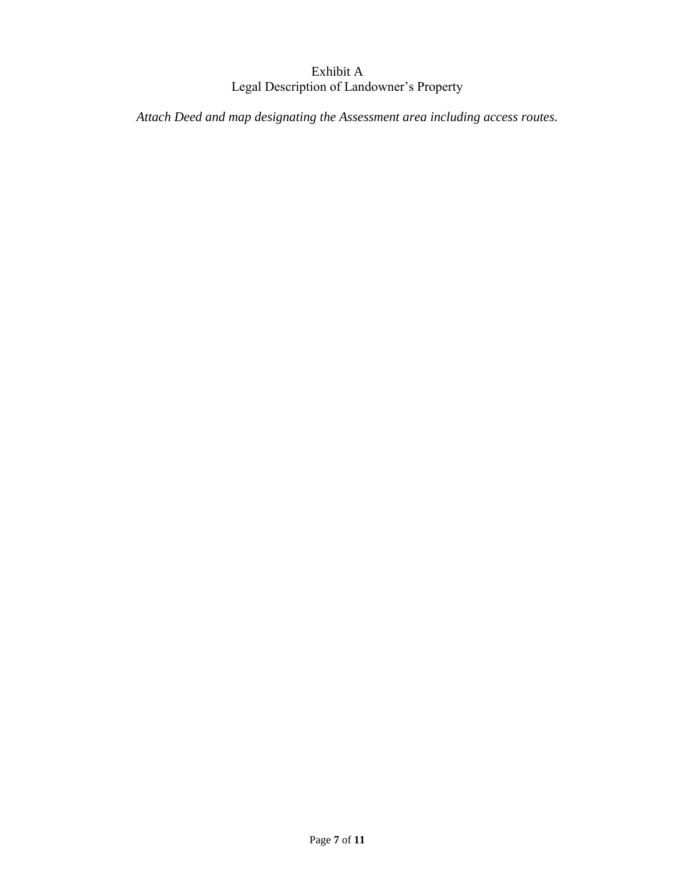## Exhibit A Legal Description of Landowner's Property

*Attach Deed and map designating the Assessment area including access routes.*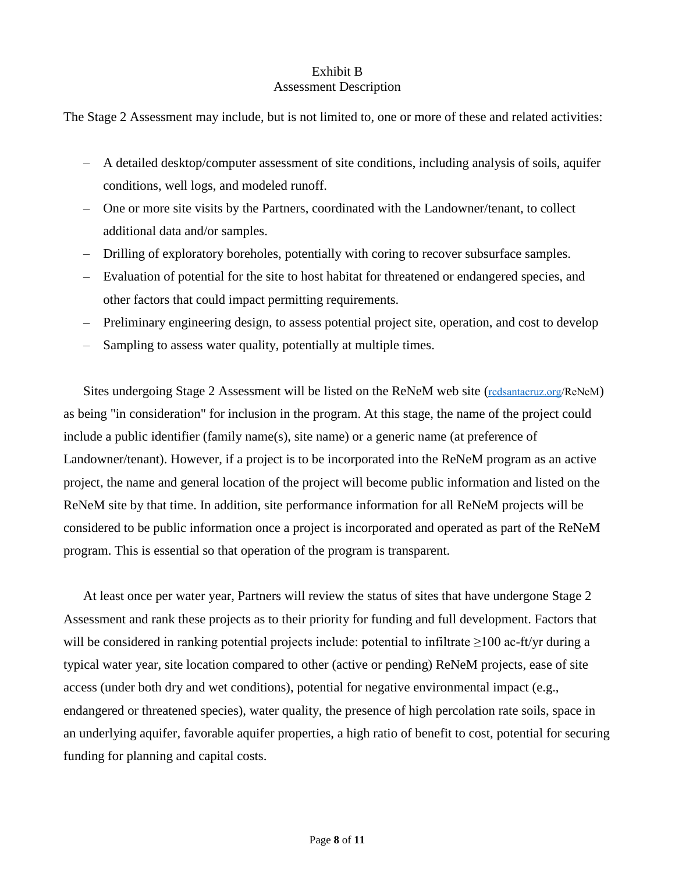#### Exhibit B Assessment Description

The Stage 2 Assessment may include, but is not limited to, one or more of these and related activities:

- A detailed desktop/computer assessment of site conditions, including analysis of soils, aquifer conditions, well logs, and modeled runoff.
- One or more site visits by the Partners, coordinated with the Landowner/tenant, to collect additional data and/or samples.
- Drilling of exploratory boreholes, potentially with coring to recover subsurface samples.
- Evaluation of potential for the site to host habitat for threatened or endangered species, and other factors that could impact permitting requirements.
- Preliminary engineering design, to assess potential project site, operation, and cost to develop
- Sampling to assess water quality, potentially at multiple times.

Sites undergoing Stage 2 Assessment will be listed on the ReNeM web site (rcdsantacruz.org/ReNeM) as being "in consideration" for inclusion in the program. At this stage, the name of the project could include a public identifier (family name(s), site name) or a generic name (at preference of Landowner/tenant). However, if a project is to be incorporated into the ReNeM program as an active project, the name and general location of the project will become public information and listed on the ReNeM site by that time. In addition, site performance information for all ReNeM projects will be considered to be public information once a project is incorporated and operated as part of the ReNeM program. This is essential so that operation of the program is transparent.

At least once per water year, Partners will review the status of sites that have undergone Stage 2 Assessment and rank these projects as to their priority for funding and full development. Factors that will be considered in ranking potential projects include: potential to infiltrate ≥100 ac-ft/yr during a typical water year, site location compared to other (active or pending) ReNeM projects, ease of site access (under both dry and wet conditions), potential for negative environmental impact (e.g., endangered or threatened species), water quality, the presence of high percolation rate soils, space in an underlying aquifer, favorable aquifer properties, a high ratio of benefit to cost, potential for securing funding for planning and capital costs.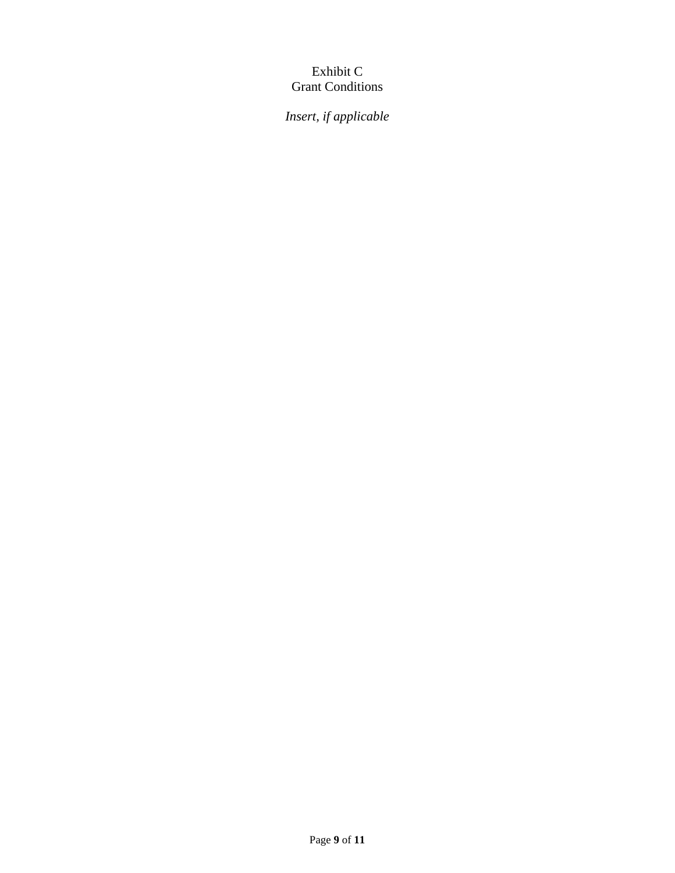## Exhibit C Grant Conditions

*Insert, if applicable*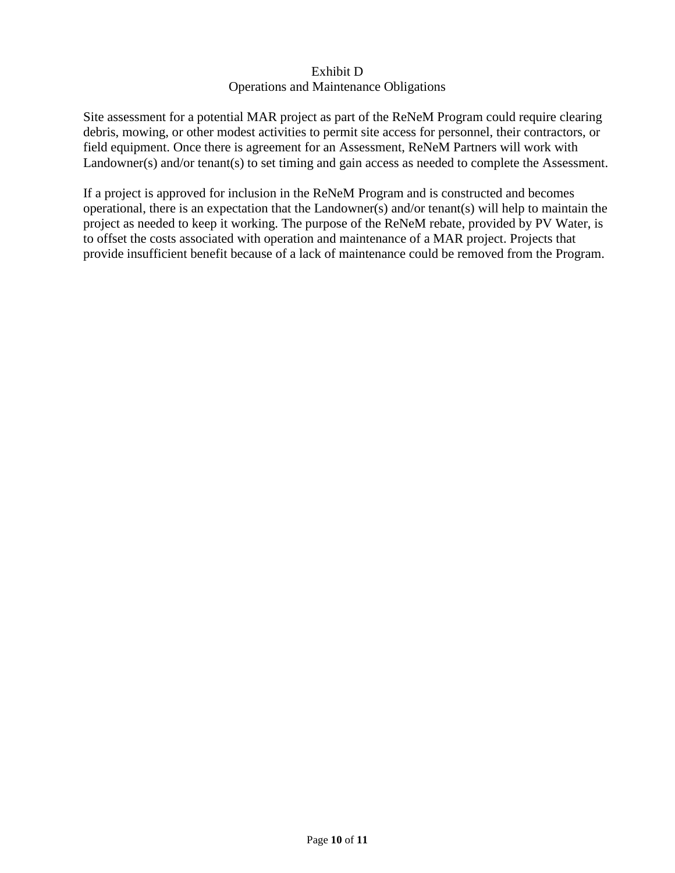### Exhibit D Operations and Maintenance Obligations

Site assessment for a potential MAR project as part of the ReNeM Program could require clearing debris, mowing, or other modest activities to permit site access for personnel, their contractors, or field equipment. Once there is agreement for an Assessment, ReNeM Partners will work with Landowner(s) and/or tenant(s) to set timing and gain access as needed to complete the Assessment.

If a project is approved for inclusion in the ReNeM Program and is constructed and becomes operational, there is an expectation that the Landowner(s) and/or tenant(s) will help to maintain the project as needed to keep it working. The purpose of the ReNeM rebate, provided by PV Water, is to offset the costs associated with operation and maintenance of a MAR project. Projects that provide insufficient benefit because of a lack of maintenance could be removed from the Program.